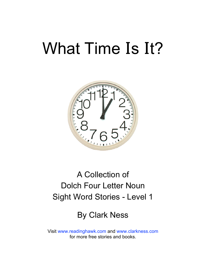# What Time **I**s **I**t?



### A Collection of Dolch Four Letter Noun Sight Word Stories - Level 1

#### By Clark Ness

Visit [www.readinghawk.com](http://www.readinghawk.com) and [www.clarkness.com](http://www.clarkness.com) for more free stories and books.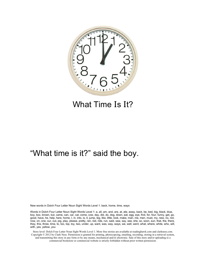

#### What Time **I**s **I**t?

#### "What time is it?" said the boy.

New words in Dolch Four Letter Noun Sight Words Level 1: back, home, time, ways

Words in Dolch Four Letter Noun Sight Words Level 1: a, all, am, and, are, at, ate, away, back, be, bed, big, black, blue, boy, box, brown, but, came, can, car, cat, come, cow, day, did, do, dog, down, eat, egg, eye, find, for, four, funny, get, go, good, have, he, help, here, home, I, in, into, is, it, jump, leg, like, little, look, make, man, me, men, must, my, new, no, not, now, on, one, our, out, pig, play, please, pretty, ran, red, ride, run, said, saw, say, see, she, so, soon, sun, that, the, there, they, this, three, time, to, too, top, toy, two, under, up, want, was, way, ways, we, well, went, what, where, white, who, will, with, yes, yellow, you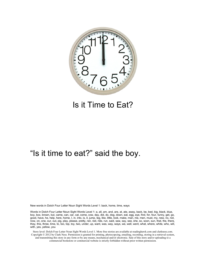

#### Is it Time to Eat?

#### "Is it time to eat?" said the boy.

New words in Dolch Four Letter Noun Sight Words Level 1: back, home, time, ways

Words in Dolch Four Letter Noun Sight Words Level 1: a, all, am, and, are, at, ate, away, back, be, bed, big, black, blue, boy, box, brown, but, came, can, car, cat, come, cow, day, did, do, dog, down, eat, egg, eye, find, for, four, funny, get, go, good, have, he, help, here, home, I, in, into, is, it, jump, leg, like, little, look, make, man, me, men, must, my, new, no, not, now, on, one, our, out, pig, play, please, pretty, ran, red, ride, run, said, saw, say, see, she, so, soon, sun, that, the, there, they, this, three, time, to, too, top, toy, two, under, up, want, was, way, ways, we, well, went, what, where, white, who, will, with, yes, yellow, you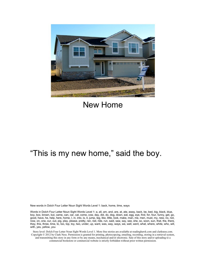

#### New Home

#### "This is my new home," said the boy.

New words in Dolch Four Letter Noun Sight Words Level 1: back, home, time, ways

Words in Dolch Four Letter Noun Sight Words Level 1: a, all, am, and, are, at, ate, away, back, be, bed, big, black, blue, boy, box, brown, but, came, can, car, cat, come, cow, day, did, do, dog, down, eat, egg, eye, find, for, four, funny, get, go, good, have, he, help, here, home, I, in, into, is, it, jump, leg, like, little, look, make, man, me, men, must, my, new, no, not, now, on, one, our, out, pig, play, please, pretty, ran, red, ride, run, said, saw, say, see, she, so, soon, sun, that, the, there, they, this, three, time, to, too, top, toy, two, under, up, want, was, way, ways, we, well, went, what, where, white, who, will, with, yes, yellow, you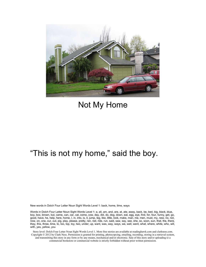

#### Not My Home

#### "This is not my home," said the boy.

New words in Dolch Four Letter Noun Sight Words Level 1: back, home, time, ways

Words in Dolch Four Letter Noun Sight Words Level 1: a, all, am, and, are, at, ate, away, back, be, bed, big, black, blue, boy, box, brown, but, came, can, car, cat, come, cow, day, did, do, dog, down, eat, egg, eye, find, for, four, funny, get, go, good, have, he, help, here, home, I, in, into, is, it, jump, leg, like, little, look, make, man, me, men, must, my, new, no, not, now, on, one, our, out, pig, play, please, pretty, ran, red, ride, run, said, saw, say, see, she, so, soon, sun, that, the, there, they, this, three, time, to, too, top, toy, two, under, up, want, was, way, ways, we, well, went, what, where, white, who, will, with, yes, yellow, you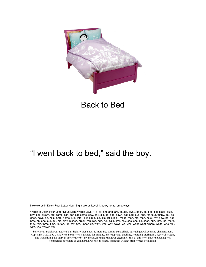

#### Back to Bed

#### "I went back to bed," said the boy.

New words in Dolch Four Letter Noun Sight Words Level 1: back, home, time, ways

Words in Dolch Four Letter Noun Sight Words Level 1: a, all, am, and, are, at, ate, away, back, be, bed, big, black, blue, boy, box, brown, but, came, can, car, cat, come, cow, day, did, do, dog, down, eat, egg, eye, find, for, four, funny, get, go, good, have, he, help, here, home, I, in, into, is, it, jump, leg, like, little, look, make, man, me, men, must, my, new, no, not, now, on, one, our, out, pig, play, please, pretty, ran, red, ride, run, said, saw, say, see, she, so, soon, sun, that, the, there, they, this, three, time, to, too, top, toy, two, under, up, want, was, way, ways, we, well, went, what, where, white, who, will, with, yes, yellow, you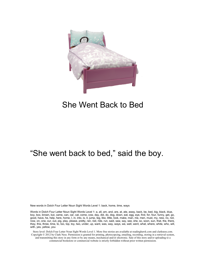

#### She Went Back to Bed

#### "She went back to bed," said the boy.

New words in Dolch Four Letter Noun Sight Words Level 1: back, home, time, ways

Words in Dolch Four Letter Noun Sight Words Level 1: a, all, am, and, are, at, ate, away, back, be, bed, big, black, blue, boy, box, brown, but, came, can, car, cat, come, cow, day, did, do, dog, down, eat, egg, eye, find, for, four, funny, get, go, good, have, he, help, here, home, I, in, into, is, it, jump, leg, like, little, look, make, man, me, men, must, my, new, no, not, now, on, one, our, out, pig, play, please, pretty, ran, red, ride, run, said, saw, say, see, she, so, soon, sun, that, the, there, they, this, three, time, to, too, top, toy, two, under, up, want, was, way, ways, we, well, went, what, where, white, who, will, with, yes, yellow, you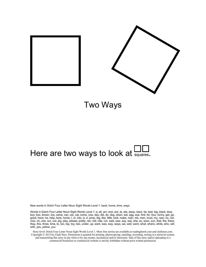

Two Ways

## Here are two ways to look at  $\Box$

New words in Dolch Four Letter Noun Sight Words Level 1: back, home, time, ways

Words in Dolch Four Letter Noun Sight Words Level 1: a, all, am, and, are, at, ate, away, back, be, bed, big, black, blue, boy, box, brown, but, came, can, car, cat, come, cow, day, did, do, dog, down, eat, egg, eye, find, for, four, funny, get, go, good, have, he, help, here, home, I, in, into, is, it, jump, leg, like, little, look, make, man, me, men, must, my, new, no, not, now, on, one, our, out, pig, play, please, pretty, ran, red, ride, run, said, saw, say, see, she, so, soon, sun, that, the, there, they, this, three, time, to, too, top, toy, two, under, up, want, was, way, ways, we, well, went, what, where, white, who, will, with, yes, yellow, you